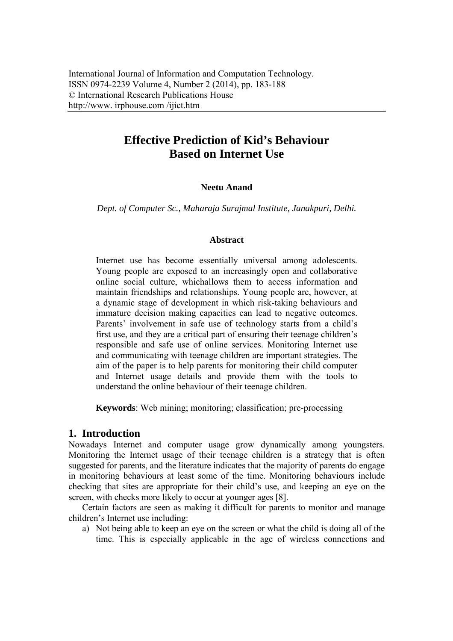# **Effective Prediction of Kid's Behaviour Based on Internet Use**

### **Neetu Anand**

*Dept. of Computer Sc., Maharaja Surajmal Institute, Janakpuri, Delhi.* 

#### **Abstract**

Internet use has become essentially universal among adolescents. Young people are exposed to an increasingly open and collaborative online social culture, whichallows them to access information and maintain friendships and relationships. Young people are, however, at a dynamic stage of development in which risk-taking behaviours and immature decision making capacities can lead to negative outcomes. Parents' involvement in safe use of technology starts from a child's first use, and they are a critical part of ensuring their teenage children's responsible and safe use of online services. Monitoring Internet use and communicating with teenage children are important strategies. The aim of the paper is to help parents for monitoring their child computer and Internet usage details and provide them with the tools to understand the online behaviour of their teenage children.

**Keywords**: Web mining; monitoring; classification; pre-processing

### **1. Introduction**

Nowadays Internet and computer usage grow dynamically among youngsters. Monitoring the Internet usage of their teenage children is a strategy that is often suggested for parents, and the literature indicates that the majority of parents do engage in monitoring behaviours at least some of the time. Monitoring behaviours include checking that sites are appropriate for their child's use, and keeping an eye on the screen, with checks more likely to occur at younger ages [8].

Certain factors are seen as making it difficult for parents to monitor and manage children's Internet use including:

a) Not being able to keep an eye on the screen or what the child is doing all of the time. This is especially applicable in the age of wireless connections and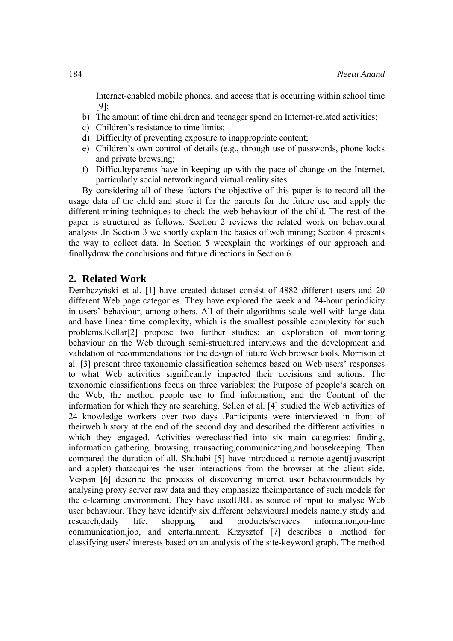Internet-enabled mobile phones, and access that is occurring within school time [9];

- b) The amount of time children and teenager spend on Internet-related activities;
- c) Children's resistance to time limits;
- d) Difficulty of preventing exposure to inappropriate content;
- e) Children's own control of details (e.g., through use of passwords, phone locks and private browsing;
- f) Difficultyparents have in keeping up with the pace of change on the Internet, particularly social networkingand virtual reality sites.

By considering all of these factors the objective of this paper is to record all the usage data of the child and store it for the parents for the future use and apply the different mining techniques to check the web behaviour of the child. The rest of the paper is structured as follows. Section 2 reviews the related work on behavioural analysis .In Section 3 we shortly explain the basics of web mining; Section 4 presents the way to collect data. In Section 5 weexplain the workings of our approach and finallydraw the conclusions and future directions in Section 6.

### **2. Related Work**

Dembczyński et al. [1] have created dataset consist of 4882 different users and 20 different Web page categories. They have explored the week and 24-hour periodicity in users' behaviour, among others. All of their algorithms scale well with large data and have linear time complexity, which is the smallest possible complexity for such problems.Kellar[2] propose two further studies: an exploration of monitoring behaviour on the Web through semi-structured interviews and the development and validation of recommendations for the design of future Web browser tools. Morrison et al. [3] present three taxonomic classification schemes based on Web users' responses to what Web activities significantly impacted their decisions and actions. The taxonomic classifications focus on three variables: the Purpose of people's search on the Web, the method people use to find information, and the Content of the information for which they are searching. Sellen et al. [4] studied the Web activities of 24 knowledge workers over two days .Participants were interviewed in front of theirweb history at the end of the second day and described the different activities in which they engaged. Activities were classified into six main categories: finding, information gathering, browsing, transacting,communicating,and housekeeping. Then compared the duration of all. Shahabi [5] have introduced a remote agent(javascript and applet) thatacquires the user interactions from the browser at the client side. Vespan [6] describe the process of discovering internet user behaviourmodels by analysing proxy server raw data and they emphasize theimportance of such models for the e-learning environment. They have usedURL as source of input to analyse Web user behaviour. They have identify six different behavioural models namely study and research,daily life, shopping and products/services information.on-line communication,job, and entertainment. Krzysztof [7] describes a method for classifying users' interests based on an analysis of the site-keyword graph. The method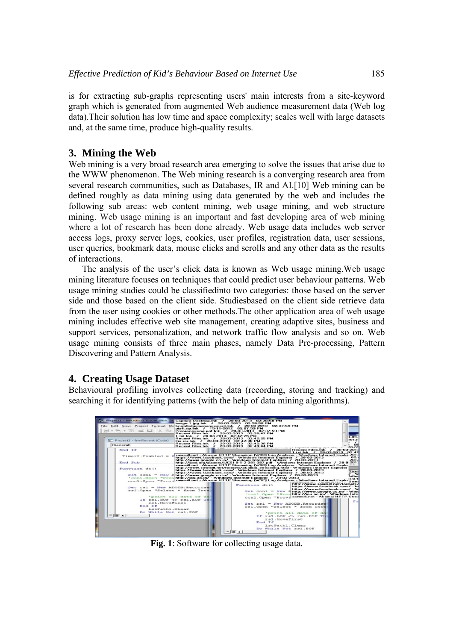is for extracting sub-graphs representing users' main interests from a site-keyword graph which is generated from augmented Web audience measurement data (Web log data).Their solution has low time and space complexity; scales well with large datasets and, at the same time, produce high-quality results.

# **3. Mining the Web**

Web mining is a very broad research area emerging to solve the issues that arise due to the WWW phenomenon. The Web mining research is a converging research area from several research communities, such as Databases, IR and AI.[10] Web mining can be defined roughly as data mining using data generated by the web and includes the following sub areas: web content mining, web usage mining, and web structure mining. Web usage mining is an important and fast developing area of web mining where a lot of research has been done already. Web usage data includes web server access logs, proxy server logs, cookies, user profiles, registration data, user sessions, user queries, bookmark data, mouse clicks and scrolls and any other data as the results of interactions.

The analysis of the user's click data is known as Web usage mining.Web usage mining literature focuses on techniques that could predict user behaviour patterns. Web usage mining studies could be classifiedinto two categories: those based on the server side and those based on the client side. Studiesbased on the client side retrieve data from the user using cookies or other methods.The other application area of web usage mining includes effective web site management, creating adaptive sites, business and support services, personalization, and network traffic flow analysis and so on. Web usage mining consists of three main phases, namely Data Pre-processing, Pattern Discovering and Pattern Analysis.

# **4. Creating Usage Dataset**

Behavioural profiling involves collecting data (recording, storing and tracking) and searching it for identifying patterns (with the help of data mining algorithms).



**Fig. 1**: Software for collecting usage data.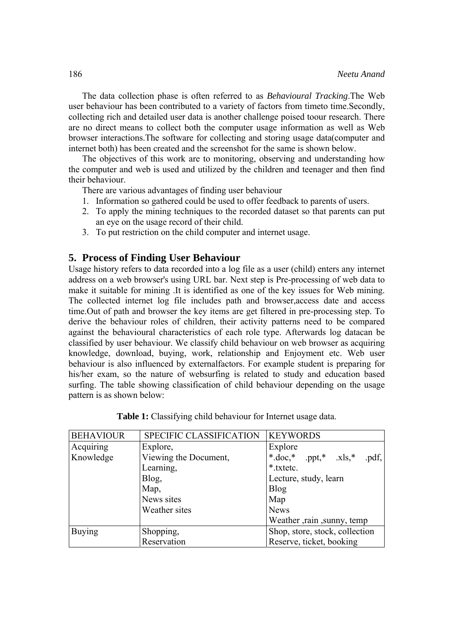The data collection phase is often referred to as *Behavioural Tracking*.The Web user behaviour has been contributed to a variety of factors from timeto time.Secondly, collecting rich and detailed user data is another challenge poised toour research. There are no direct means to collect both the computer usage information as well as Web browser interactions.The software for collecting and storing usage data(computer and internet both) has been created and the screenshot for the same is shown below.

The objectives of this work are to monitoring, observing and understanding how the computer and web is used and utilized by the children and teenager and then find their behaviour.

There are various advantages of finding user behaviour

- 1. Information so gathered could be used to offer feedback to parents of users.
- 2. To apply the mining techniques to the recorded dataset so that parents can put an eye on the usage record of their child.
- 3. To put restriction on the child computer and internet usage.

### **5. Process of Finding User Behaviour**

Usage history refers to data recorded into a log file as a user (child) enters any internet address on a web browser's using URL bar. Next step is Pre-processing of web data to make it suitable for mining .It is identified as one of the key issues for Web mining. The collected internet log file includes path and browser,access date and access time.Out of path and browser the key items are get filtered in pre-processing step. To derive the behaviour roles of children, their activity patterns need to be compared against the behavioural characteristics of each role type. Afterwards log datacan be classified by user behaviour. We classify child behaviour on web browser as acquiring knowledge, download, buying, work, relationship and Enjoyment etc. Web user behaviour is also influenced by externalfactors. For example student is preparing for his/her exam, so the nature of websurfing is related to study and education based surfing. The table showing classification of child behaviour depending on the usage pattern is as shown below:

| <b>BEHAVIOUR</b> | SPECIFIC CLASSIFICATION | <b>KEYWORDS</b>                |  |
|------------------|-------------------------|--------------------------------|--|
| Acquiring        | Explore,                | Explore                        |  |
| Knowledge        | Viewing the Document,   | *.doc,* .ppt,* .xls,*<br>.pdf, |  |
|                  | Learning,               | *.txtetc.                      |  |
|                  | Blog,                   | Lecture, study, learn          |  |
|                  | Map,                    | <b>Blog</b>                    |  |
|                  | News sites              | Map                            |  |
|                  | Weather sites           | <b>News</b>                    |  |
|                  |                         | Weather , rain , sunny, temp   |  |
| <b>Buying</b>    | Shopping,               | Shop, store, stock, collection |  |
|                  | Reservation             | Reserve, ticket, booking       |  |

|  | Table 1: Classifying child behaviour for Internet usage data. |  |
|--|---------------------------------------------------------------|--|
|  |                                                               |  |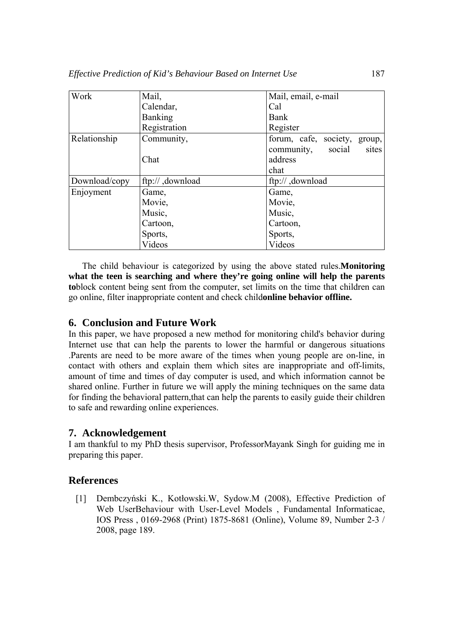| Work          | Mail,            | Mail, email, e-mail             |  |
|---------------|------------------|---------------------------------|--|
|               | Calendar,        | Cal                             |  |
|               | <b>Banking</b>   | Bank                            |  |
|               | Registration     | Register                        |  |
| Relationship  | Community,       | forum, cafe, society,<br>group, |  |
|               |                  | sites<br>community, social      |  |
|               | Chat             | address                         |  |
|               |                  | chat                            |  |
| Download/copy | ftp:// ,download | ftp:// ,download                |  |
| Enjoyment     | Game,            | Game,                           |  |
|               | Movie,           | Movie,                          |  |
|               | Music,           | Music,                          |  |
|               | Cartoon,         | Cartoon,                        |  |
|               | Sports,          | Sports,                         |  |
|               | Videos           | Videos                          |  |

The child behaviour is categorized by using the above stated rules.**Monitoring what the teen is searching and where they're going online will help the parents to**block content being sent from the computer, set limits on the time that children can go online, filter inappropriate content and check child**online behavior offline.**

### **6. Conclusion and Future Work**

In this paper, we have proposed a new method for monitoring child's behavior during Internet use that can help the parents to lower the harmful or dangerous situations .Parents are need to be more aware of the times when young people are on-line, in contact with others and explain them which sites are inappropriate and off-limits, amount of time and times of day computer is used, and which information cannot be shared online. Further in future we will apply the mining techniques on the same data for finding the behavioral pattern,that can help the parents to easily guide their children to safe and rewarding online experiences.

## **7. Acknowledgement**

I am thankful to my PhD thesis supervisor, ProfessorMayank Singh for guiding me in preparing this paper.

## **References**

[1] Dembczyński K., Kotłowski.W, Sydow.M (2008), Effective Prediction of Web UserBehaviour with User-Level Models , Fundamental Informaticae, IOS Press , 0169-2968 (Print) 1875-8681 (Online), Volume 89, Number 2-3 / 2008, page 189.